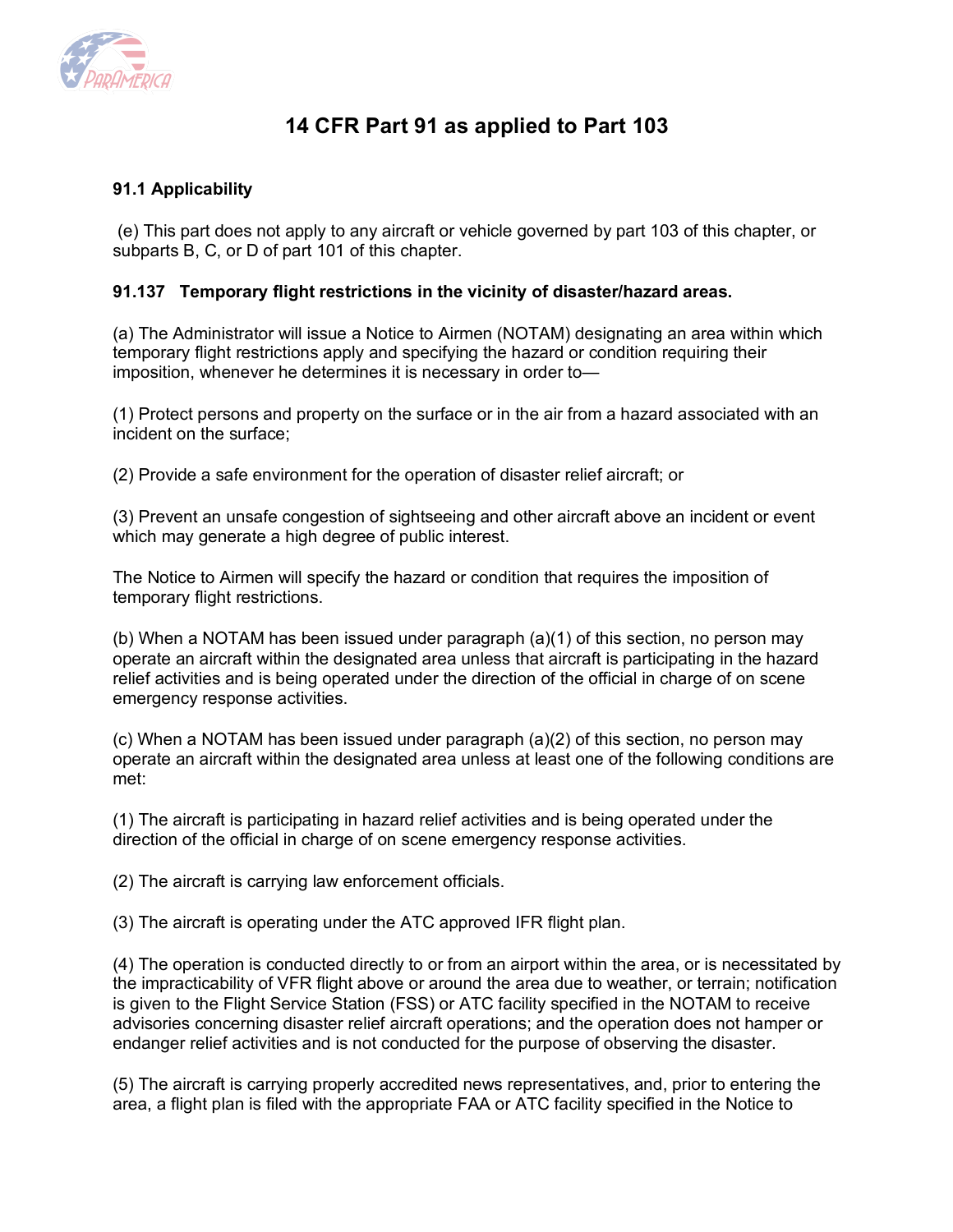

# **14 CFR Part 91 as applied to Part 103**

## **91.1 Applicability**

(e) This part does not apply to any aircraft or vehicle governed by part 103 of this chapter, or subparts B, C, or D of part 101 of this chapter.

## **91.137 Temporary flight restrictions in the vicinity of disaster/hazard areas.**

(a) The Administrator will issue a Notice to Airmen (NOTAM) designating an area within which temporary flight restrictions apply and specifying the hazard or condition requiring their imposition, whenever he determines it is necessary in order to—

(1) Protect persons and property on the surface or in the air from a hazard associated with an incident on the surface;

(2) Provide a safe environment for the operation of disaster relief aircraft; or

(3) Prevent an unsafe congestion of sightseeing and other aircraft above an incident or event which may generate a high degree of public interest.

The Notice to Airmen will specify the hazard or condition that requires the imposition of temporary flight restrictions.

(b) When a NOTAM has been issued under paragraph (a)(1) of this section, no person may operate an aircraft within the designated area unless that aircraft is participating in the hazard relief activities and is being operated under the direction of the official in charge of on scene emergency response activities.

(c) When a NOTAM has been issued under paragraph (a)(2) of this section, no person may operate an aircraft within the designated area unless at least one of the following conditions are met:

(1) The aircraft is participating in hazard relief activities and is being operated under the direction of the official in charge of on scene emergency response activities.

(2) The aircraft is carrying law enforcement officials.

(3) The aircraft is operating under the ATC approved IFR flight plan.

(4) The operation is conducted directly to or from an airport within the area, or is necessitated by the impracticability of VFR flight above or around the area due to weather, or terrain; notification is given to the Flight Service Station (FSS) or ATC facility specified in the NOTAM to receive advisories concerning disaster relief aircraft operations; and the operation does not hamper or endanger relief activities and is not conducted for the purpose of observing the disaster.

(5) The aircraft is carrying properly accredited news representatives, and, prior to entering the area, a flight plan is filed with the appropriate FAA or ATC facility specified in the Notice to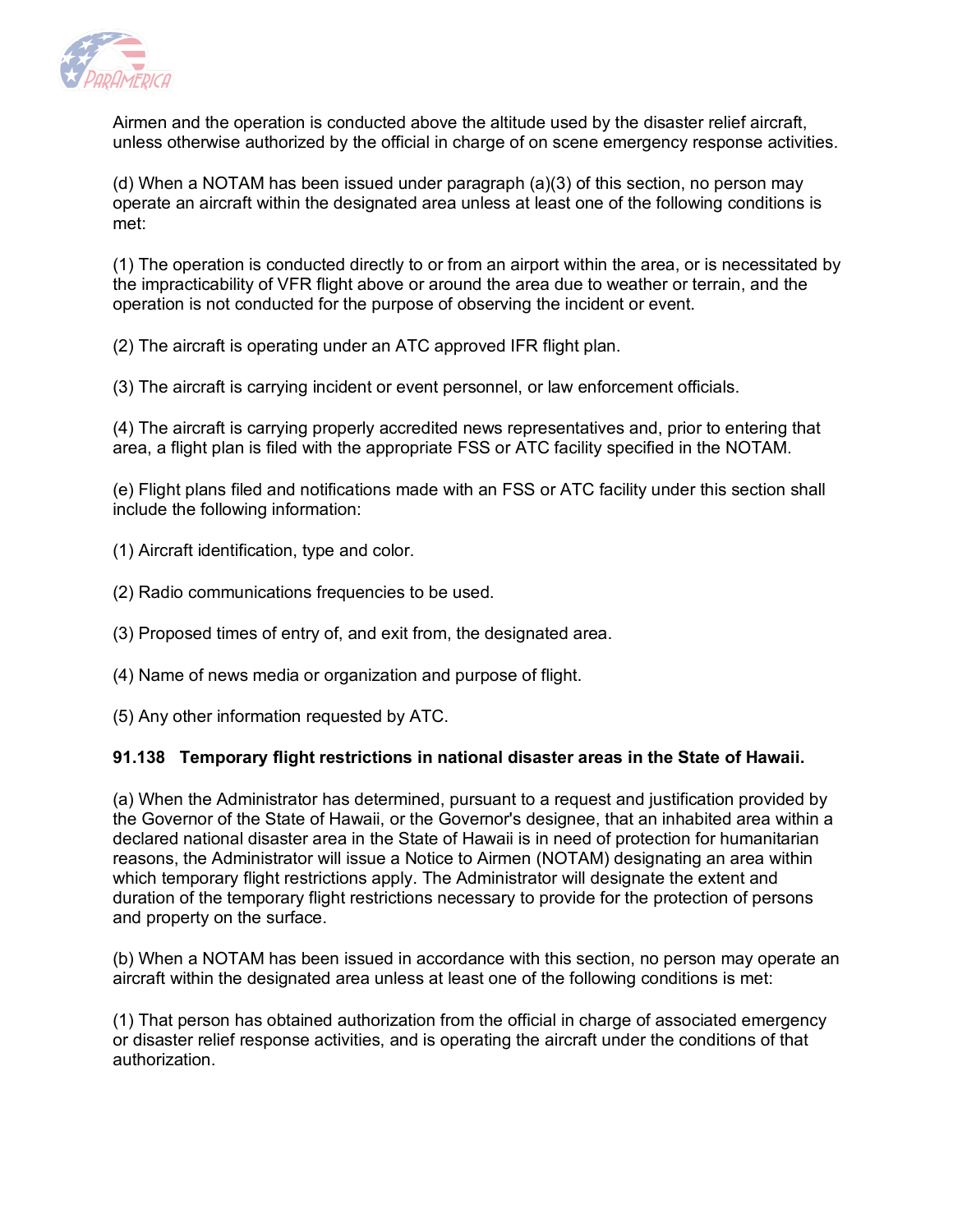

Airmen and the operation is conducted above the altitude used by the disaster relief aircraft, unless otherwise authorized by the official in charge of on scene emergency response activities.

(d) When a NOTAM has been issued under paragraph (a)(3) of this section, no person may operate an aircraft within the designated area unless at least one of the following conditions is met:

(1) The operation is conducted directly to or from an airport within the area, or is necessitated by the impracticability of VFR flight above or around the area due to weather or terrain, and the operation is not conducted for the purpose of observing the incident or event.

(2) The aircraft is operating under an ATC approved IFR flight plan.

(3) The aircraft is carrying incident or event personnel, or law enforcement officials.

(4) The aircraft is carrying properly accredited news representatives and, prior to entering that area, a flight plan is filed with the appropriate FSS or ATC facility specified in the NOTAM.

(e) Flight plans filed and notifications made with an FSS or ATC facility under this section shall include the following information:

(1) Aircraft identification, type and color.

(2) Radio communications frequencies to be used.

(3) Proposed times of entry of, and exit from, the designated area.

(4) Name of news media or organization and purpose of flight.

(5) Any other information requested by ATC.

## **91.138 Temporary flight restrictions in national disaster areas in the State of Hawaii.**

(a) When the Administrator has determined, pursuant to a request and justification provided by the Governor of the State of Hawaii, or the Governor's designee, that an inhabited area within a declared national disaster area in the State of Hawaii is in need of protection for humanitarian reasons, the Administrator will issue a Notice to Airmen (NOTAM) designating an area within which temporary flight restrictions apply. The Administrator will designate the extent and duration of the temporary flight restrictions necessary to provide for the protection of persons and property on the surface.

(b) When a NOTAM has been issued in accordance with this section, no person may operate an aircraft within the designated area unless at least one of the following conditions is met:

(1) That person has obtained authorization from the official in charge of associated emergency or disaster relief response activities, and is operating the aircraft under the conditions of that authorization.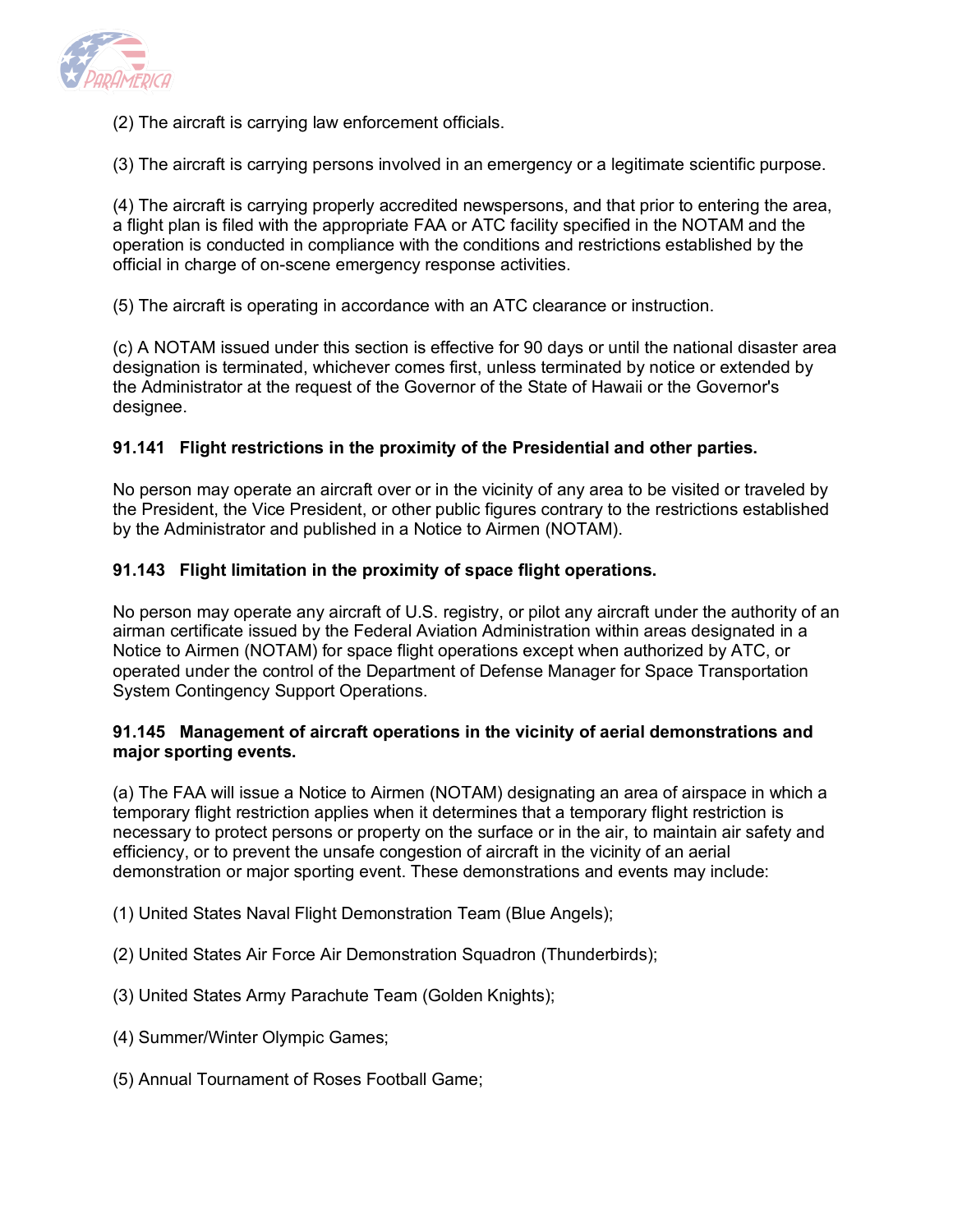

(2) The aircraft is carrying law enforcement officials.

(3) The aircraft is carrying persons involved in an emergency or a legitimate scientific purpose.

(4) The aircraft is carrying properly accredited newspersons, and that prior to entering the area, a flight plan is filed with the appropriate FAA or ATC facility specified in the NOTAM and the operation is conducted in compliance with the conditions and restrictions established by the official in charge of on-scene emergency response activities.

(5) The aircraft is operating in accordance with an ATC clearance or instruction.

(c) A NOTAM issued under this section is effective for 90 days or until the national disaster area designation is terminated, whichever comes first, unless terminated by notice or extended by the Administrator at the request of the Governor of the State of Hawaii or the Governor's designee.

### **91.141 Flight restrictions in the proximity of the Presidential and other parties.**

No person may operate an aircraft over or in the vicinity of any area to be visited or traveled by the President, the Vice President, or other public figures contrary to the restrictions established by the Administrator and published in a Notice to Airmen (NOTAM).

### **91.143 Flight limitation in the proximity of space flight operations.**

No person may operate any aircraft of U.S. registry, or pilot any aircraft under the authority of an airman certificate issued by the Federal Aviation Administration within areas designated in a Notice to Airmen (NOTAM) for space flight operations except when authorized by ATC, or operated under the control of the Department of Defense Manager for Space Transportation System Contingency Support Operations.

### **91.145 Management of aircraft operations in the vicinity of aerial demonstrations and major sporting events.**

(a) The FAA will issue a Notice to Airmen (NOTAM) designating an area of airspace in which a temporary flight restriction applies when it determines that a temporary flight restriction is necessary to protect persons or property on the surface or in the air, to maintain air safety and efficiency, or to prevent the unsafe congestion of aircraft in the vicinity of an aerial demonstration or major sporting event. These demonstrations and events may include:

- (1) United States Naval Flight Demonstration Team (Blue Angels);
- (2) United States Air Force Air Demonstration Squadron (Thunderbirds);
- (3) United States Army Parachute Team (Golden Knights);
- (4) Summer/Winter Olympic Games;
- (5) Annual Tournament of Roses Football Game;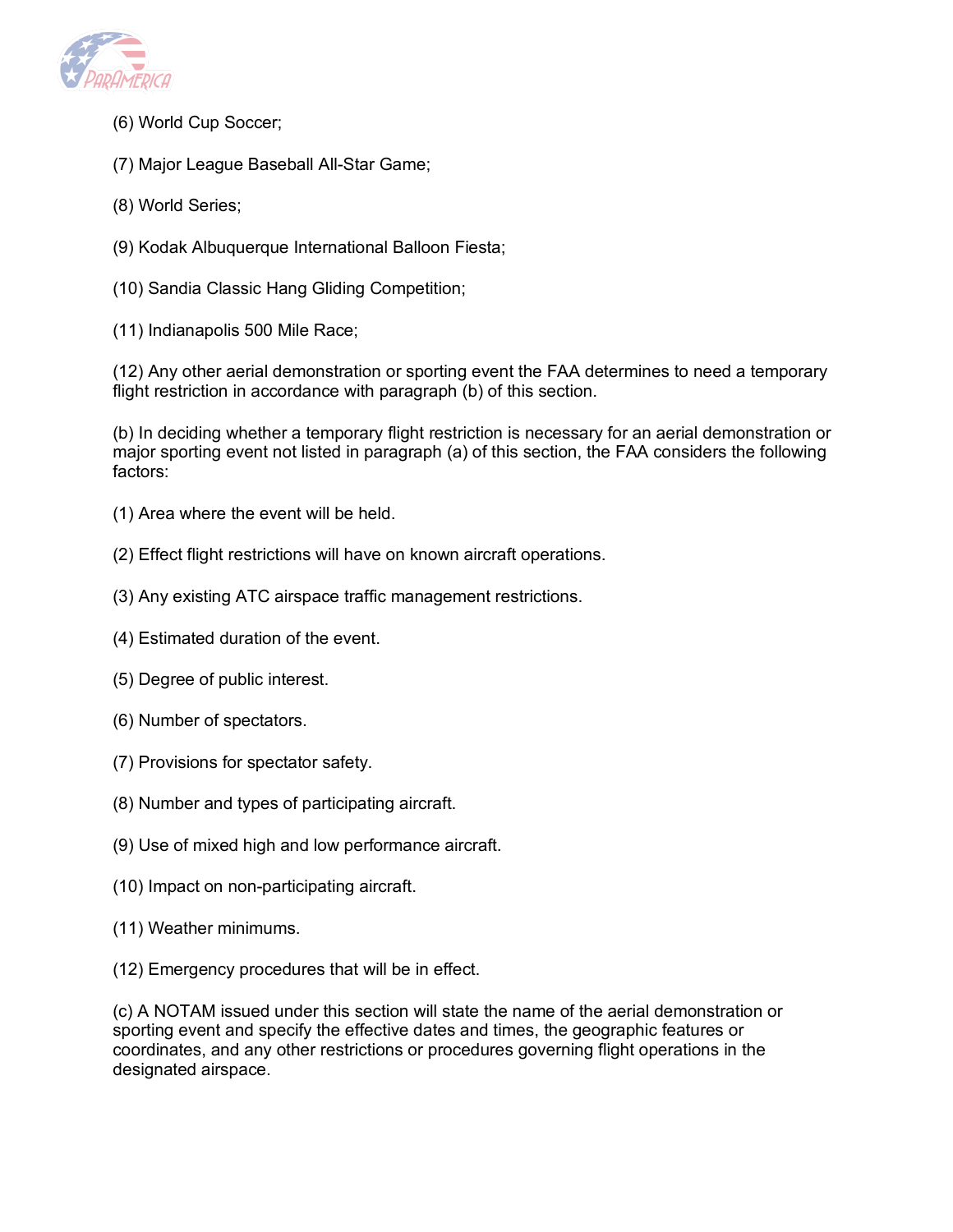

- (6) World Cup Soccer;
- (7) Major League Baseball All-Star Game;
- (8) World Series;
- (9) Kodak Albuquerque International Balloon Fiesta;
- (10) Sandia Classic Hang Gliding Competition;
- (11) Indianapolis 500 Mile Race;

(12) Any other aerial demonstration or sporting event the FAA determines to need a temporary flight restriction in accordance with paragraph (b) of this section.

(b) In deciding whether a temporary flight restriction is necessary for an aerial demonstration or major sporting event not listed in paragraph (a) of this section, the FAA considers the following factors:

- (1) Area where the event will be held.
- (2) Effect flight restrictions will have on known aircraft operations.
- (3) Any existing ATC airspace traffic management restrictions.
- (4) Estimated duration of the event.
- (5) Degree of public interest.
- (6) Number of spectators.
- (7) Provisions for spectator safety.
- (8) Number and types of participating aircraft.
- (9) Use of mixed high and low performance aircraft.
- (10) Impact on non-participating aircraft.
- (11) Weather minimums.
- (12) Emergency procedures that will be in effect.

(c) A NOTAM issued under this section will state the name of the aerial demonstration or sporting event and specify the effective dates and times, the geographic features or coordinates, and any other restrictions or procedures governing flight operations in the designated airspace.